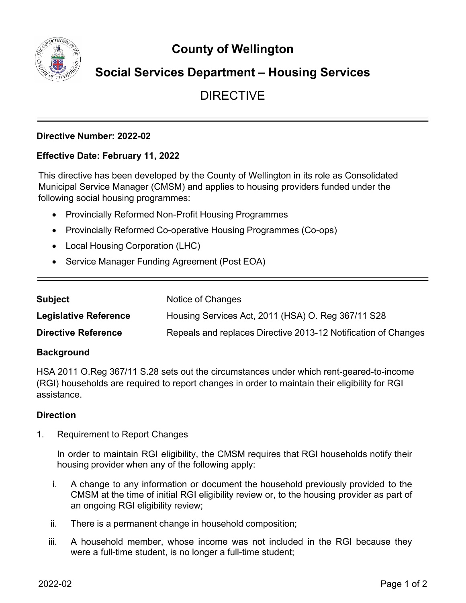wration

# **County of Wellington**

## **Social Services Department – Housing Services**

## DIRECTIVE

## **Directive Number: 2022-02**

## **Effective Date: February 11, 2022**

This directive has been developed by the County of Wellington in its role as Consolidated Municipal Service Manager (CMSM) and applies to housing providers funded under the following social housing programmes:

- Provincially Reformed Non-Profit Housing Programmes
- Provincially Reformed Co-operative Housing Programmes (Co-ops)
- Local Housing Corporation (LHC)
- Service Manager Funding Agreement (Post EOA)

| <b>Subject</b>               | Notice of Changes                                              |
|------------------------------|----------------------------------------------------------------|
| <b>Legislative Reference</b> | Housing Services Act, 2011 (HSA) O. Reg 367/11 S28             |
| <b>Directive Reference</b>   | Repeals and replaces Directive 2013-12 Notification of Changes |

### **Background**

HSA 2011 O.Reg 367/11 S.28 sets out the circumstances under which rent-geared-to-income (RGI) households are required to report changes in order to maintain their eligibility for RGI assistance.

### **Direction**

1. Requirement to Report Changes

In order to maintain RGI eligibility, the CMSM requires that RGI households notify their housing provider when any of the following apply:

- i. A change to any information or document the household previously provided to the CMSM at the time of initial RGI eligibility review or, to the housing provider as part of an ongoing RGI eligibility review;
- ii. There is a permanent change in household composition;
- iii. A household member, whose income was not included in the RGI because they were a full-time student, is no longer a full-time student;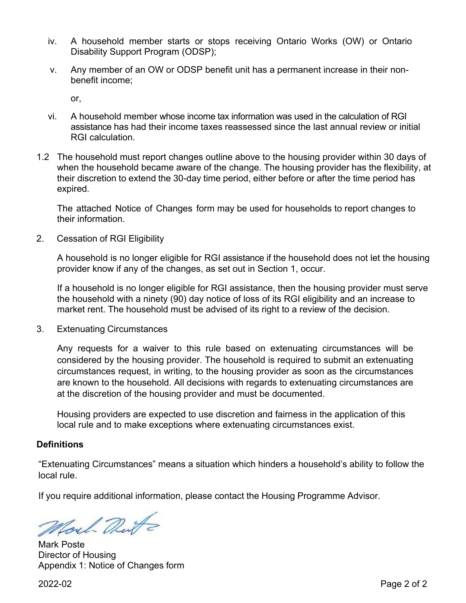- iv. A household member starts or stops receiving Ontario Works (OW) or Ontario Disability Support Program (ODSP);
- v. Any member of an OW or ODSP benefit unit has a permanent increase in their nonbenefit income;

or,

- vi. A household member whose income tax information was used in the calculation of RGI assistance has had their income taxes reassessed since the last annual review or initial RGI calculation.
- 1.2 The household must report changes outline above to the housing provider within 30 days of when the household became aware of the change. The housing provider has the flexibility, at their discretion to extend the 30-day time period, either before or after the time period has expired.

The attached Notice of Changes form may be used for households to report changes to their information.

2. Cessation of RGI Eligibility

A household is no longer eligible for RGI assistance if the household does not let the housing provider know if any of the changes, as set out in Section 1, occur.

If a household is no longer eligible for RGI assistance, then the housing provider must serve the household with a ninety (90) day notice of loss of its RGI eligibility and an increase to market rent. The household must be advised of its right to a review of the decision.

3. Extenuating Circumstances

Any requests for a waiver to this rule based on extenuating circumstances will be considered by the housing provider. The household is required to submit an extenuating circumstances request, in writing, to the housing provider as soon as the circumstances are known to the household. All decisions with regards to extenuating circumstances are at the discretion of the housing provider and must be documented.

Housing providers are expected to use discretion and fairness in the application of this local rule and to make exceptions where extenuating circumstances exist.

#### **Definitions**

"Extenuating Circumstances" means a situation which hinders a household's ability to follow the local rule.

If you require additional information, please contact the Housing Programme Advisor.

Moul Dute

Mark Poste Director of Housing Appendix 1: Notice of Changes form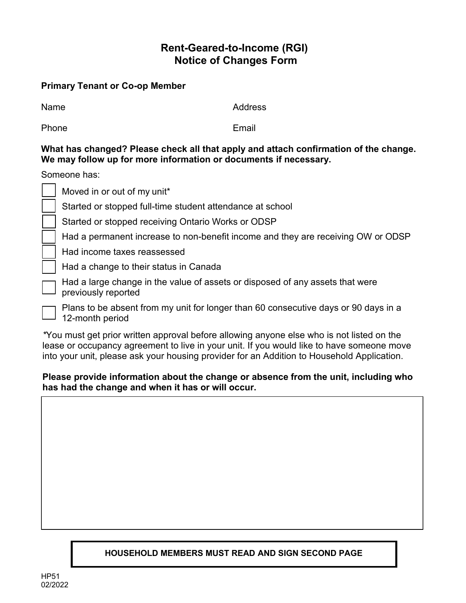## **Rent-Geared-to-Income (RGI) Notice of Changes Form**

## **Primary Tenant or Co-op Member**

| Name | Address |
|------|---------|
|      |         |

Phone **Email** 

## **What has changed? Please check all that apply and attach confirmation of the change. We may follow up for more information or documents if necessary.**

Someone has:

| Moved in or out of my unit*                                                                            |
|--------------------------------------------------------------------------------------------------------|
| Started or stopped full-time student attendance at school                                              |
| Started or stopped receiving Ontario Works or ODSP                                                     |
| Had a permanent increase to non-benefit income and they are receiving OW or ODSP                       |
| Had income taxes reassessed                                                                            |
| Had a change to their status in Canada                                                                 |
| Had a large change in the value of assets or disposed of any assets that were<br>previously reported   |
| Plans to be absent from my unit for longer than 60 consecutive days or 90 days in a<br>12-month period |

*\**You must get prior written approval before allowing anyone else who is not listed on the lease or occupancy agreement to live in your unit. If you would like to have someone move into your unit, please ask your housing provider for an Addition to Household Application.

## **Please provide information about the change or absence from the unit, including who has had the change and when it has or will occur.**

## **HOUSEHOLD MEMBERS MUST READ AND SIGN SECOND PAGE**